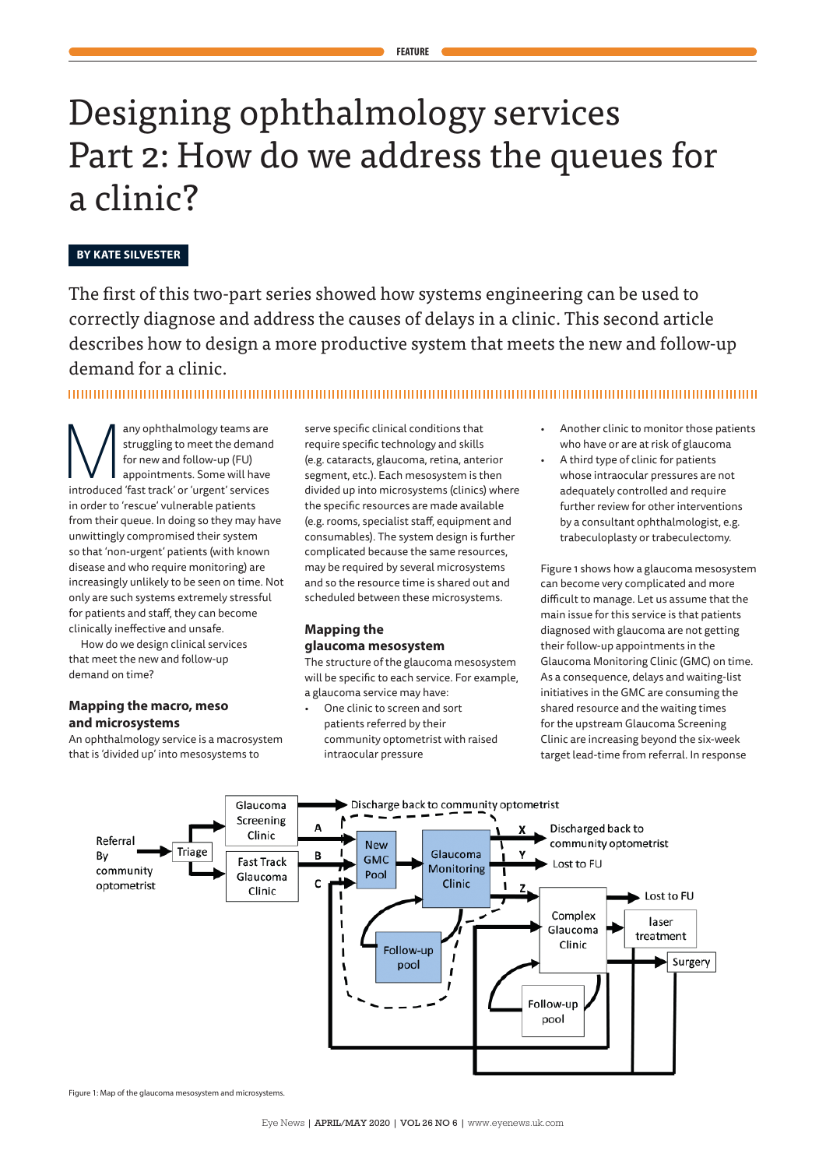# Designing ophthalmology services Part 2: How do we address the queues for a clinic?

## **BY KATE SILVESTER**

The first of this two-part series showed how systems engineering can be used to correctly diagnose and address the causes of delays in a clinic. This second article describes how to design a more productive system that meets the new and follow-up demand for a clinic.

Arruggling to meet the demand for new and follow-up (FU)<br>for new and follow-up (FU)<br>introduced 'fast track' or 'urgent' services struggling to meet the demand for new and follow-up (FU) appointments. Some will have in order to 'rescue' vulnerable patients from their queue. In doing so they may have unwittingly compromised their system so that 'non-urgent' patients (with known disease and who require monitoring) are increasingly unlikely to be seen on time. Not only are such systems extremely stressful for patients and staff, they can become clinically ineffective and unsafe.

How do we design clinical services that meet the new and follow-up demand on time?

## **Mapping the macro, meso and microsystems**

An ophthalmology service is a macrosystem that is 'divided up' into mesosystems to

serve specific clinical conditions that require specific technology and skills (e.g. cataracts, glaucoma, retina, anterior segment, etc.). Each mesosystem is then divided up into microsystems (clinics) where the specific resources are made available (e.g. rooms, specialist staff, equipment and consumables). The system design is further complicated because the same resources, may be required by several microsystems and so the resource time is shared out and scheduled between these microsystems.

## **Mapping the glaucoma mesosystem**

The structure of the glaucoma mesosystem will be specific to each service. For example, a glaucoma service may have:

One clinic to screen and sort patients referred by their community optometrist with raised intraocular pressure

- Another clinic to monitor those patients who have or are at risk of glaucoma
	- A third type of clinic for patients whose intraocular pressures are not adequately controlled and require further review for other interventions

by a consultant ophthalmologist, e.g. trabeculoplasty or trabeculectomy.

Figure 1 shows how a glaucoma mesosystem can become very complicated and more difficult to manage. Let us assume that the main issue for this service is that patients diagnosed with glaucoma are not getting their follow-up appointments in the Glaucoma Monitoring Clinic (GMC) on time. As a consequence, delays and waiting-list initiatives in the GMC are consuming the shared resource and the waiting times for the upstream Glaucoma Screening Clinic are increasing beyond the six-week target lead-time from referral. In response



Figure 1: Map of the glaucoma mesosystem and microsystems.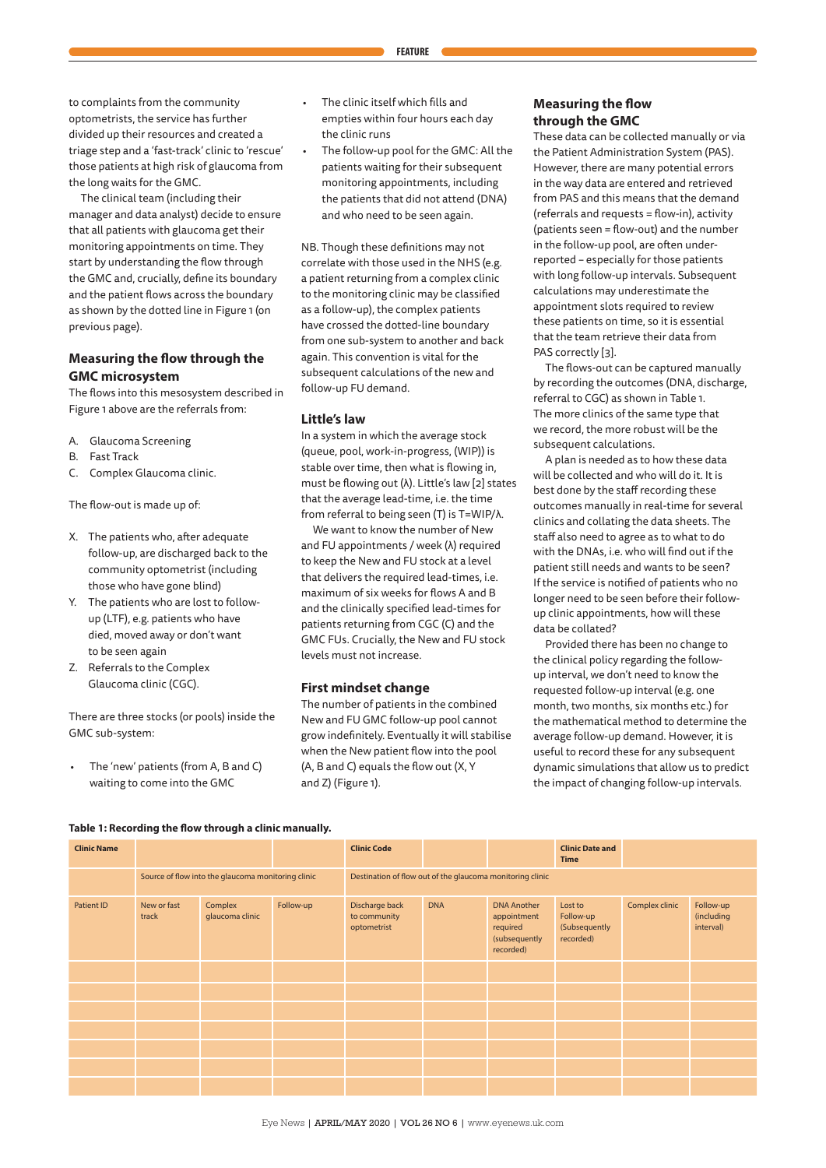The clinical team (including their manager and data analyst) decide to ensure that all patients with glaucoma get their monitoring appointments on time. They start by understanding the flow through the GMC and, crucially, define its boundary and the patient flows across the boundary as shown by the dotted line in Figure 1 (on previous page).

## **Measuring the flow through the GMC microsystem**

The flows into this mesosystem described in Figure 1 above are the referrals from:

- A. Glaucoma Screening
- B. Fast Track
- C. Complex Glaucoma clinic.

The flow-out is made up of:

- X. The patients who, after adequate follow-up, are discharged back to the community optometrist (including those who have gone blind)
- Y. The patients who are lost to followup (LTF), e.g. patients who have died, moved away or don't want to be seen again
- Z. Referrals to the Complex Glaucoma clinic (CGC).

There are three stocks (or pools) inside the GMC sub-system:

• The 'new' patients (from A, B and C) waiting to come into the GMC

• The clinic itself which fills and empties within four hours each day

the clinic runs

The follow-up pool for the GMC: All the patients waiting for their subsequent monitoring appointments, including the patients that did not attend (DNA) and who need to be seen again.

NB. Though these definitions may not correlate with those used in the NHS (e.g. a patient returning from a complex clinic to the monitoring clinic may be classified as a follow-up), the complex patients have crossed the dotted-line boundary from one sub-system to another and back again. This convention is vital for the subsequent calculations of the new and follow-up FU demand.

#### **Little's law**

In a system in which the average stock (queue, pool, work-in-progress, (WIP)) is stable over time, then what is flowing in, must be flowing out (λ). Little's law [2] states that the average lead-time, i.e. the time from referral to being seen (T) is T=WIP/λ.

We want to know the number of New and FU appointments / week (λ) required to keep the New and FU stock at a level that delivers the required lead-times, i.e. maximum of six weeks for flows A and B and the clinically specified lead-times for patients returning from CGC (C) and the GMC FUs. Crucially, the New and FU stock levels must not increase.

#### **First mindset change**

The number of patients in the combined New and FU GMC follow-up pool cannot grow indefinitely. Eventually it will stabilise when the New patient flow into the pool (A, B and C) equals the flow out (X, Y and Z) (Figure 1).

### **Measuring the flow through the GMC**

These data can be collected manually or via the Patient Administration System (PAS). However, there are many potential errors in the way data are entered and retrieved from PAS and this means that the demand (referrals and requests = flow-in), activity (patients seen = flow-out) and the number in the follow-up pool, are often underreported – especially for those patients with long follow-up intervals. Subsequent calculations may underestimate the appointment slots required to review these patients on time, so it is essential that the team retrieve their data from PAS correctly [3].

The flows-out can be captured manually by recording the outcomes (DNA, discharge, referral to CGC) as shown in Table 1. The more clinics of the same type that we record, the more robust will be the subsequent calculations.

A plan is needed as to how these data will be collected and who will do it. It is best done by the staff recording these outcomes manually in real-time for several clinics and collating the data sheets. The staff also need to agree as to what to do with the DNAs, i.e. who will find out if the patient still needs and wants to be seen? If the service is notified of patients who no longer need to be seen before their followup clinic appointments, how will these data be collated?

Provided there has been no change to the clinical policy regarding the followup interval, we don't need to know the requested follow-up interval (e.g. one month, two months, six months etc.) for the mathematical method to determine the average follow-up demand. However, it is useful to record these for any subsequent dynamic simulations that allow us to predict the impact of changing follow-up intervals.

|  |  | Table 1: Recording the flow through a clinic manually. |  |  |
|--|--|--------------------------------------------------------|--|--|
|  |  |                                                        |  |  |

| <b>Clinic Name</b> |                                                    |                            |           | <b>Clinic Code</b>                                        |            |                                                                             | <b>Clinic Date and</b><br><b>Time</b>              |                |                                      |  |
|--------------------|----------------------------------------------------|----------------------------|-----------|-----------------------------------------------------------|------------|-----------------------------------------------------------------------------|----------------------------------------------------|----------------|--------------------------------------|--|
|                    | Source of flow into the glaucoma monitoring clinic |                            |           | Destination of flow out of the glaucoma monitoring clinic |            |                                                                             |                                                    |                |                                      |  |
| <b>Patient ID</b>  | New or fast<br>track                               | Complex<br>glaucoma clinic | Follow-up | Discharge back<br>to community<br>optometrist             | <b>DNA</b> | <b>DNA Another</b><br>appointment<br>required<br>(subsequently<br>recorded) | Lost to<br>Follow-up<br>(Subsequently<br>recorded) | Complex clinic | Follow-up<br>(including<br>interval) |  |
|                    |                                                    |                            |           |                                                           |            |                                                                             |                                                    |                |                                      |  |
|                    |                                                    |                            |           |                                                           |            |                                                                             |                                                    |                |                                      |  |
|                    |                                                    |                            |           |                                                           |            |                                                                             |                                                    |                |                                      |  |
|                    |                                                    |                            |           |                                                           |            |                                                                             |                                                    |                |                                      |  |
|                    |                                                    |                            |           |                                                           |            |                                                                             |                                                    |                |                                      |  |
|                    |                                                    |                            |           |                                                           |            |                                                                             |                                                    |                |                                      |  |
|                    |                                                    |                            |           |                                                           |            |                                                                             |                                                    |                |                                      |  |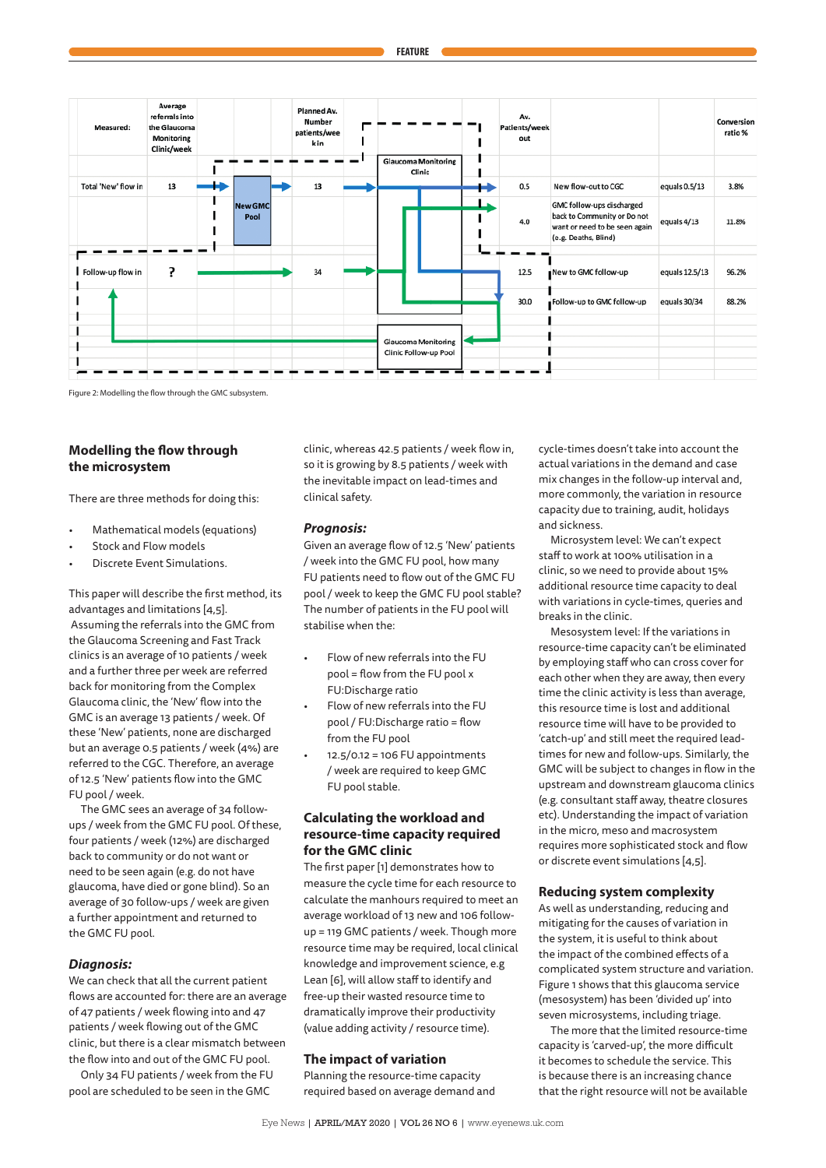

Figure 2: Modelling the flow through the GMC subsystem.

## **Modelling the flow through the microsystem**

There are three methods for doing this:

- Mathematical models (equations)
- Stock and Flow models
- Discrete Event Simulations.

This paper will describe the first method, its advantages and limitations [4,5]. Assuming the referrals into the GMC from the Glaucoma Screening and Fast Track clinics is an average of 10 patients / week and a further three per week are referred back for monitoring from the Complex Glaucoma clinic, the 'New' flow into the GMC is an average 13 patients / week. Of these 'New' patients, none are discharged but an average 0.5 patients / week (4%) are referred to the CGC. Therefore, an average of 12.5 'New' patients flow into the GMC FU pool / week.

The GMC sees an average of 34 followups / week from the GMC FU pool. Of these, four patients / week (12%) are discharged back to community or do not want or need to be seen again (e.g. do not have glaucoma, have died or gone blind). So an average of 30 follow-ups / week are given a further appointment and returned to the GMC FU pool.

#### *Diagnosis:*

We can check that all the current patient flows are accounted for: there are an average of 47 patients / week flowing into and 47 patients / week flowing out of the GMC clinic, but there is a clear mismatch between the flow into and out of the GMC FU pool.

Only 34 FU patients / week from the FU pool are scheduled to be seen in the GMC

clinic, whereas 42.5 patients / week flow in, so it is growing by 8.5 patients / week with the inevitable impact on lead-times and clinical safety.

#### *Prognosis:*

Given an average flow of 12.5 'New' patients / week into the GMC FU pool, how many FU patients need to flow out of the GMC FU pool / week to keep the GMC FU pool stable? The number of patients in the FU pool will stabilise when the:

- Flow of new referrals into the FU pool = flow from the FU pool x FU:Discharge ratio
- Flow of new referrals into the FU pool / FU:Discharge ratio = flow from the FU pool
- $12.5/0.12 = 106$  FU appointments / week are required to keep GMC FU pool stable.

## **Calculating the workload and resource-time capacity required for the GMC clinic**

The first paper [1] demonstrates how to measure the cycle time for each resource to calculate the manhours required to meet an average workload of 13 new and 106 followup = 119 GMC patients / week. Though more resource time may be required, local clinical knowledge and improvement science, e.g Lean [6], will allow staff to identify and free-up their wasted resource time to dramatically improve their productivity (value adding activity / resource time).

#### **The impact of variation**

Planning the resource-time capacity required based on average demand and cycle-times doesn't take into account the actual variations in the demand and case mix changes in the follow-up interval and, more commonly, the variation in resource capacity due to training, audit, holidays and sickness.

Microsystem level: We can't expect staff to work at 100% utilisation in a clinic, so we need to provide about 15% additional resource time capacity to deal with variations in cycle-times, queries and breaks in the clinic.

Mesosystem level: If the variations in resource-time capacity can't be eliminated by employing staff who can cross cover for each other when they are away, then every time the clinic activity is less than average, this resource time is lost and additional resource time will have to be provided to 'catch-up' and still meet the required leadtimes for new and follow-ups. Similarly, the GMC will be subject to changes in flow in the upstream and downstream glaucoma clinics (e.g. consultant staff away, theatre closures etc). Understanding the impact of variation in the micro, meso and macrosystem requires more sophisticated stock and flow or discrete event simulations [4,5].

#### **Reducing system complexity**

As well as understanding, reducing and mitigating for the causes of variation in the system, it is useful to think about the impact of the combined effects of a complicated system structure and variation. Figure 1 shows that this glaucoma service (mesosystem) has been 'divided up' into seven microsystems, including triage.

The more that the limited resource-time capacity is 'carved-up', the more difficult it becomes to schedule the service. This is because there is an increasing chance that the right resource will not be available